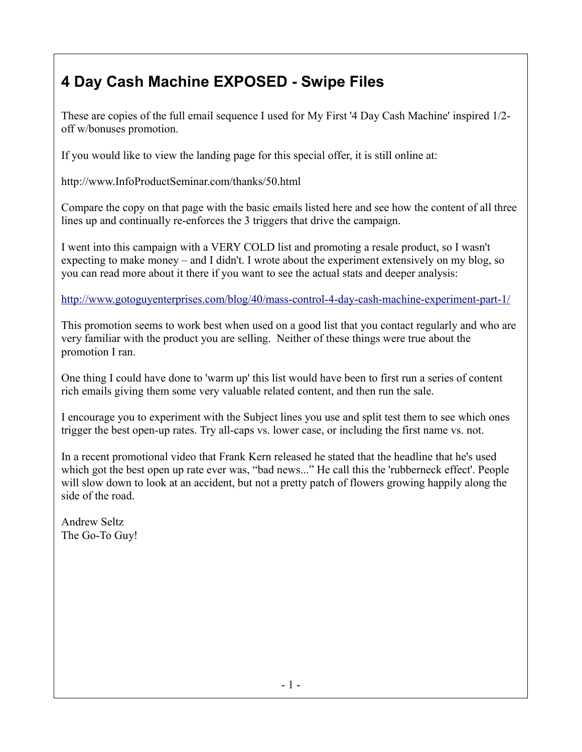## **4 Day Cash Machine EXPOSED - Swipe Files**

These are copies of the full email sequence I used for My First '4 Day Cash Machine' inspired 1/2 off w/bonuses promotion.

If you would like to view the landing page for this special offer, it is still online at:

http://www.InfoProductSeminar.com/thanks/50.html

Compare the copy on that page with the basic emails listed here and see how the content of all three lines up and continually re-enforces the 3 triggers that drive the campaign.

I went into this campaign with a VERY COLD list and promoting a resale product, so I wasn't expecting to make money – and I didn't. I wrote about the experiment extensively on my blog, so you can read more about it there if you want to see the actual stats and deeper analysis:

<http://www.gotoguyenterprises.com/blog/40/mass-control-4-day-cash-machine-experiment-part-1/>

This promotion seems to work best when used on a good list that you contact regularly and who are very familiar with the product you are selling. Neither of these things were true about the promotion I ran.

One thing I could have done to 'warm up' this list would have been to first run a series of content rich emails giving them some very valuable related content, and then run the sale.

I encourage you to experiment with the Subject lines you use and split test them to see which ones trigger the best open-up rates. Try all-caps vs. lower case, or including the first name vs. not.

In a recent promotional video that Frank Kern released he stated that the headline that he's used which got the best open up rate ever was, "bad news..." He call this the 'rubberneck effect'. People will slow down to look at an accident, but not a pretty patch of flowers growing happily along the side of the road.

Andrew Seltz The Go-To Guy!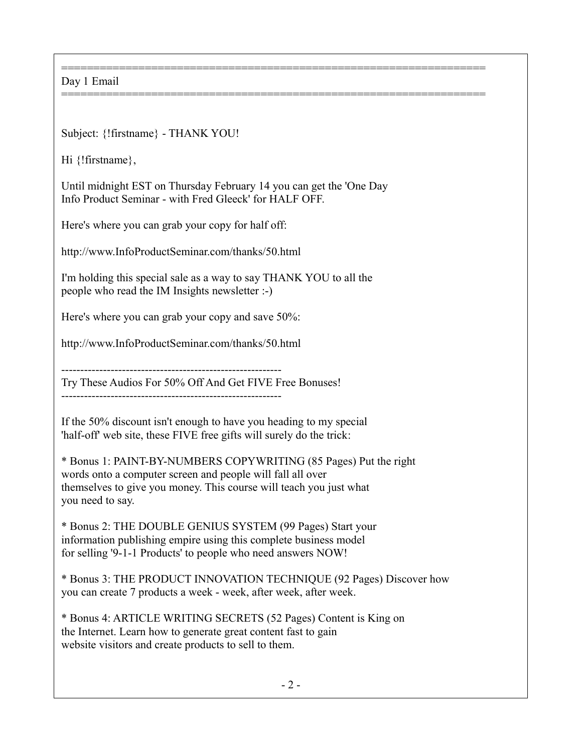================================================================== Day 1 Email

Subject: {!firstname} - THANK YOU!

Hi {!firstname},

Until midnight EST on Thursday February 14 you can get the 'One Day Info Product Seminar - with Fred Gleeck' for HALF OFF.

==================================================================

Here's where you can grab your copy for half off:

http://www.InfoProductSeminar.com/thanks/50.html

I'm holding this special sale as a way to say THANK YOU to all the people who read the IM Insights newsletter :-)

Here's where you can grab your copy and save 50%:

http://www.InfoProductSeminar.com/thanks/50.html

----------------------------------------------------------

Try These Audios For 50% Off And Get FIVE Free Bonuses!

----------------------------------------------------------

If the 50% discount isn't enough to have you heading to my special 'half-off' web site, these FIVE free gifts will surely do the trick:

\* Bonus 1: PAINT-BY-NUMBERS COPYWRITING (85 Pages) Put the right words onto a computer screen and people will fall all over themselves to give you money. This course will teach you just what you need to say.

\* Bonus 2: THE DOUBLE GENIUS SYSTEM (99 Pages) Start your information publishing empire using this complete business model for selling '9-1-1 Products' to people who need answers NOW!

\* Bonus 3: THE PRODUCT INNOVATION TECHNIQUE (92 Pages) Discover how you can create 7 products a week - week, after week, after week.

\* Bonus 4: ARTICLE WRITING SECRETS (52 Pages) Content is King on the Internet. Learn how to generate great content fast to gain website visitors and create products to sell to them.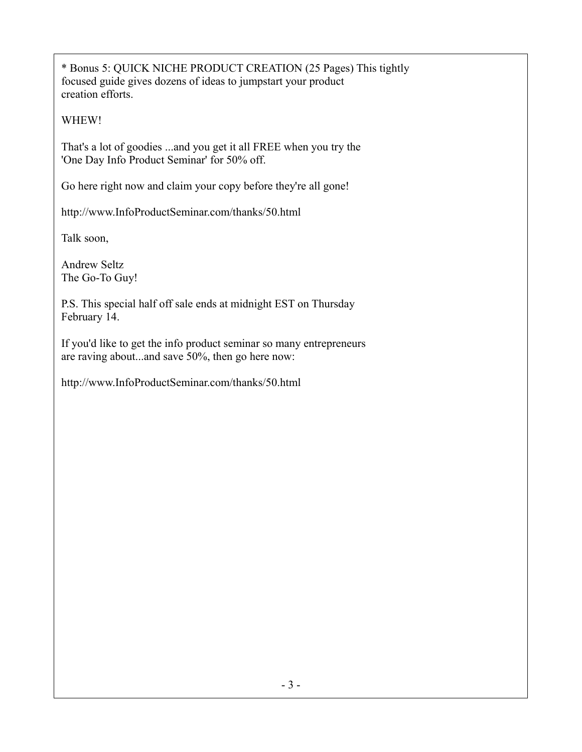\* Bonus 5: QUICK NICHE PRODUCT CREATION (25 Pages) This tightly focused guide gives dozens of ideas to jumpstart your product creation efforts.

WHEW!

That's a lot of goodies ...and you get it all FREE when you try the 'One Day Info Product Seminar' for 50% off.

Go here right now and claim your copy before they're all gone!

http://www.InfoProductSeminar.com/thanks/50.html

Talk soon,

Andrew Seltz The Go-To Guy!

P.S. This special half off sale ends at midnight EST on Thursday February 14.

If you'd like to get the info product seminar so many entrepreneurs are raving about...and save 50%, then go here now:

http://www.InfoProductSeminar.com/thanks/50.html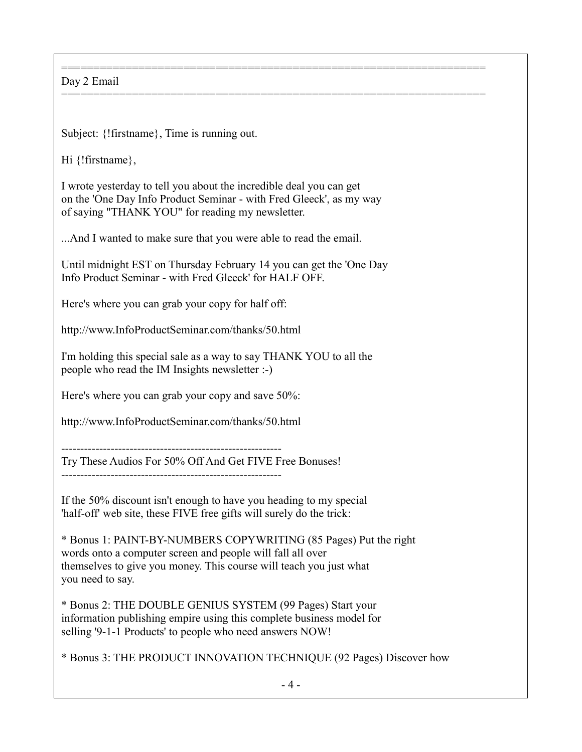## ================================================================== Day 2 Email

Subject: {!firstname}, Time is running out.

Hi {!firstname},

I wrote yesterday to tell you about the incredible deal you can get on the 'One Day Info Product Seminar - with Fred Gleeck', as my way of saying "THANK YOU" for reading my newsletter.

==================================================================

...And I wanted to make sure that you were able to read the email.

Until midnight EST on Thursday February 14 you can get the 'One Day Info Product Seminar - with Fred Gleeck' for HALF OFF.

Here's where you can grab your copy for half off:

http://www.InfoProductSeminar.com/thanks/50.html

I'm holding this special sale as a way to say THANK YOU to all the people who read the IM Insights newsletter :-)

Here's where you can grab your copy and save 50%:

http://www.InfoProductSeminar.com/thanks/50.html

----------------------------------------------------------

Try These Audios For 50% Off And Get FIVE Free Bonuses!

If the 50% discount isn't enough to have you heading to my special 'half-off' web site, these FIVE free gifts will surely do the trick:

\* Bonus 1: PAINT-BY-NUMBERS COPYWRITING (85 Pages) Put the right words onto a computer screen and people will fall all over themselves to give you money. This course will teach you just what you need to say.

\* Bonus 2: THE DOUBLE GENIUS SYSTEM (99 Pages) Start your information publishing empire using this complete business model for selling '9-1-1 Products' to people who need answers NOW!

\* Bonus 3: THE PRODUCT INNOVATION TECHNIQUE (92 Pages) Discover how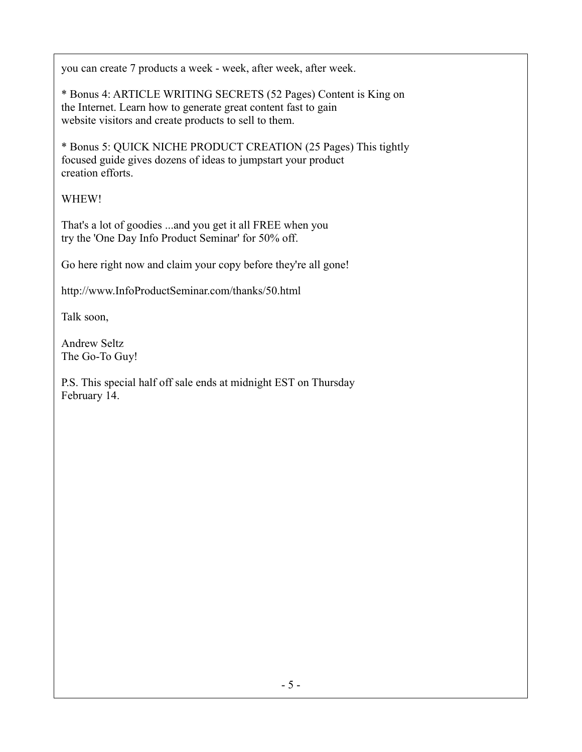you can create 7 products a week - week, after week, after week.

\* Bonus 4: ARTICLE WRITING SECRETS (52 Pages) Content is King on the Internet. Learn how to generate great content fast to gain website visitors and create products to sell to them.

\* Bonus 5: QUICK NICHE PRODUCT CREATION (25 Pages) This tightly focused guide gives dozens of ideas to jumpstart your product creation efforts.

## WHEW!

That's a lot of goodies ...and you get it all FREE when you try the 'One Day Info Product Seminar' for 50% off.

Go here right now and claim your copy before they're all gone!

http://www.InfoProductSeminar.com/thanks/50.html

Talk soon,

Andrew Seltz The Go-To Guy!

P.S. This special half off sale ends at midnight EST on Thursday February 14.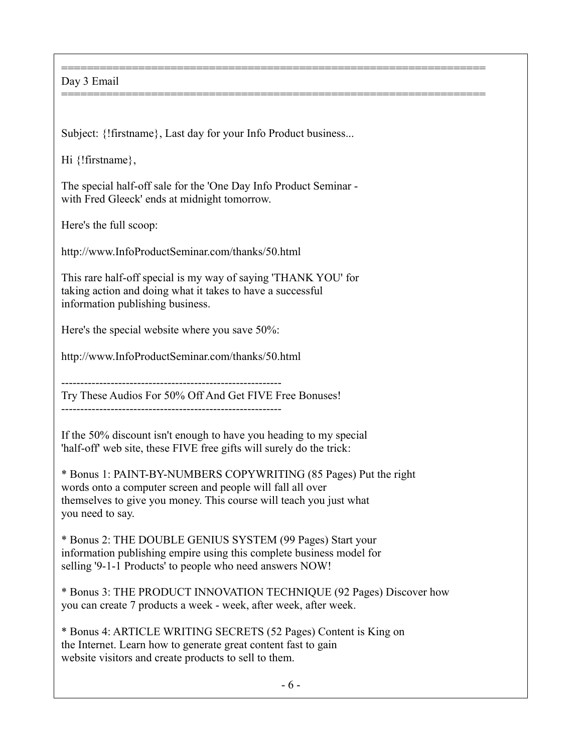## Day 3 Email

Subject: {!firstname}, Last day for your Info Product business...

==================================================================

==================================================================

Hi {!firstname},

The special half-off sale for the 'One Day Info Product Seminar with Fred Gleeck' ends at midnight tomorrow.

Here's the full scoop:

http://www.InfoProductSeminar.com/thanks/50.html

This rare half-off special is my way of saying 'THANK YOU' for taking action and doing what it takes to have a successful information publishing business.

Here's the special website where you save 50%:

http://www.InfoProductSeminar.com/thanks/50.html

----------------------------------------------------------

Try These Audios For 50% Off And Get FIVE Free Bonuses!

----------------------------------------------------------

If the 50% discount isn't enough to have you heading to my special 'half-off' web site, these FIVE free gifts will surely do the trick:

\* Bonus 1: PAINT-BY-NUMBERS COPYWRITING (85 Pages) Put the right words onto a computer screen and people will fall all over themselves to give you money. This course will teach you just what you need to say.

\* Bonus 2: THE DOUBLE GENIUS SYSTEM (99 Pages) Start your information publishing empire using this complete business model for selling '9-1-1 Products' to people who need answers NOW!

\* Bonus 3: THE PRODUCT INNOVATION TECHNIQUE (92 Pages) Discover how you can create 7 products a week - week, after week, after week.

\* Bonus 4: ARTICLE WRITING SECRETS (52 Pages) Content is King on the Internet. Learn how to generate great content fast to gain website visitors and create products to sell to them.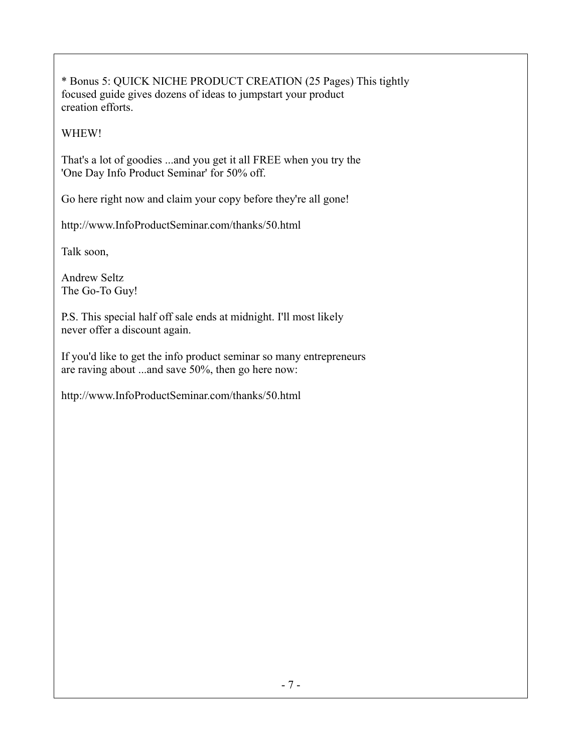\* Bonus 5: QUICK NICHE PRODUCT CREATION (25 Pages) This tightly focused guide gives dozens of ideas to jumpstart your product creation efforts.

WHEW!

That's a lot of goodies ...and you get it all FREE when you try the 'One Day Info Product Seminar' for 50% off.

Go here right now and claim your copy before they're all gone!

http://www.InfoProductSeminar.com/thanks/50.html

Talk soon,

Andrew Seltz The Go-To Guy!

P.S. This special half off sale ends at midnight. I'll most likely never offer a discount again.

If you'd like to get the info product seminar so many entrepreneurs are raving about ...and save 50%, then go here now:

http://www.InfoProductSeminar.com/thanks/50.html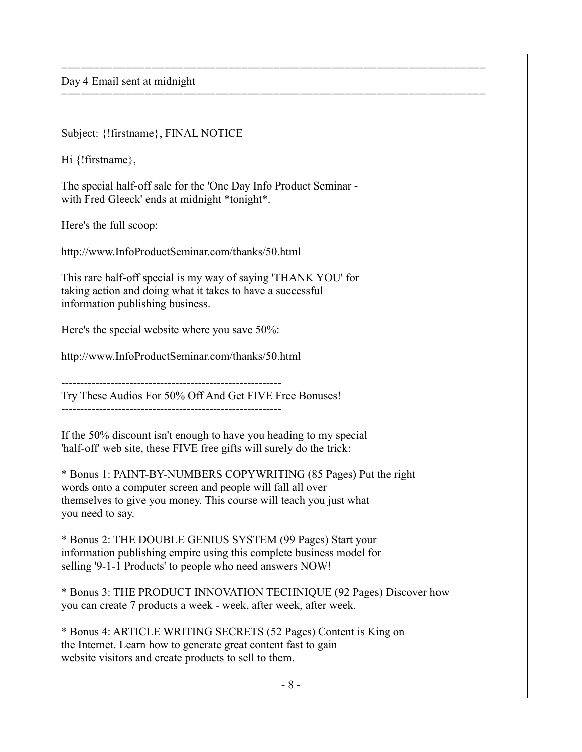================================================================== Day 4 Email sent at midnight

Subject: {!firstname}, FINAL NOTICE

Hi {!firstname},

The special half-off sale for the 'One Day Info Product Seminar with Fred Gleeck' ends at midnight \*tonight\*.

==================================================================

Here's the full scoop:

http://www.InfoProductSeminar.com/thanks/50.html

This rare half-off special is my way of saying 'THANK YOU' for taking action and doing what it takes to have a successful information publishing business.

Here's the special website where you save 50%:

http://www.InfoProductSeminar.com/thanks/50.html

----------------------------------------------------------

Try These Audios For 50% Off And Get FIVE Free Bonuses!

----------------------------------------------------------

If the 50% discount isn't enough to have you heading to my special 'half-off' web site, these FIVE free gifts will surely do the trick:

\* Bonus 1: PAINT-BY-NUMBERS COPYWRITING (85 Pages) Put the right words onto a computer screen and people will fall all over themselves to give you money. This course will teach you just what you need to say.

\* Bonus 2: THE DOUBLE GENIUS SYSTEM (99 Pages) Start your information publishing empire using this complete business model for selling '9-1-1 Products' to people who need answers NOW!

\* Bonus 3: THE PRODUCT INNOVATION TECHNIQUE (92 Pages) Discover how you can create 7 products a week - week, after week, after week.

\* Bonus 4: ARTICLE WRITING SECRETS (52 Pages) Content is King on the Internet. Learn how to generate great content fast to gain website visitors and create products to sell to them.